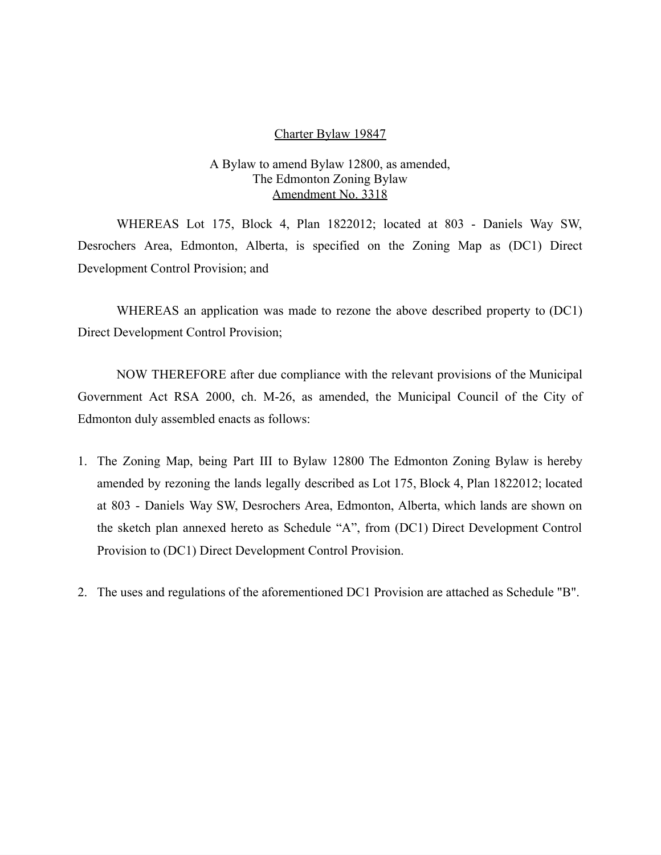#### Charter Bylaw 19847

### A Bylaw to amend Bylaw 12800, as amended, The Edmonton Zoning Bylaw Amendment No. 3318

WHEREAS Lot 175, Block 4, Plan 1822012; located at 803 - Daniels Way SW, Desrochers Area, Edmonton, Alberta, is specified on the Zoning Map as (DC1) Direct Development Control Provision; and

WHEREAS an application was made to rezone the above described property to (DC1) Direct Development Control Provision;

NOW THEREFORE after due compliance with the relevant provisions of the Municipal Government Act RSA 2000, ch. M-26, as amended, the Municipal Council of the City of Edmonton duly assembled enacts as follows:

- 1. The Zoning Map, being Part III to Bylaw 12800 The Edmonton Zoning Bylaw is hereby amended by rezoning the lands legally described as Lot 175, Block 4, Plan 1822012; located at 803 - Daniels Way SW, Desrochers Area, Edmonton, Alberta, which lands are shown on the sketch plan annexed hereto as Schedule "A", from (DC1) Direct Development Control Provision to (DC1) Direct Development Control Provision.
- 2. The uses and regulations of the aforementioned DC1 Provision are attached as Schedule "B".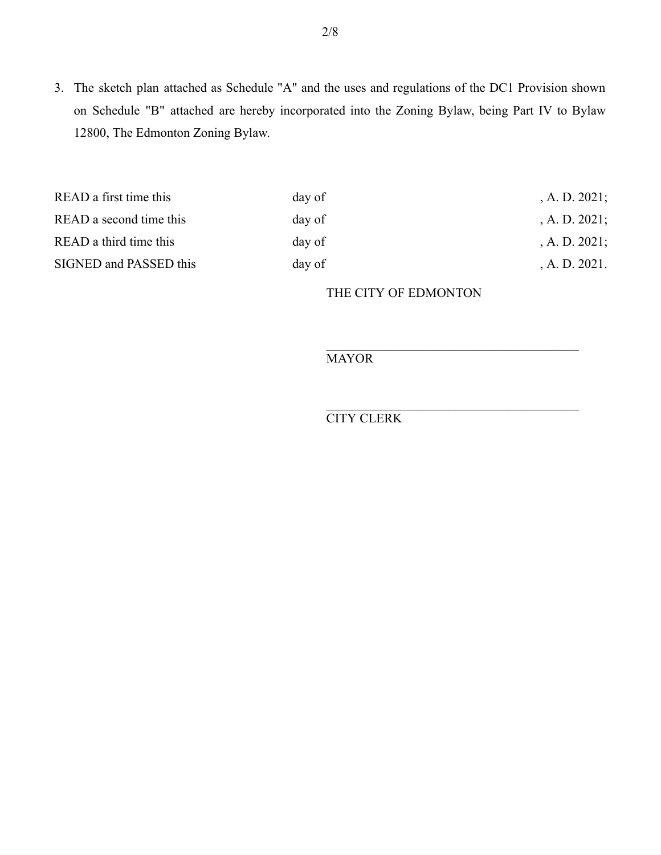3. The sketch plan attached as Schedule "A" and the uses and regulations of the DC1 Provision shown on Schedule "B" attached are hereby incorporated into the Zoning Bylaw, being Part IV to Bylaw 12800, The Edmonton Zoning Bylaw.

| READ a first time this  | day of | , A. D. $2021$ ; |
|-------------------------|--------|------------------|
| READ a second time this | day of | $A. D. 2021$ ;   |
| READ a third time this  | day of | , A. D. $2021$ ; |
| SIGNED and PASSED this  | day of | A. D. 2021.      |

THE CITY OF EDMONTON

**MAYOR** 

CITY CLERK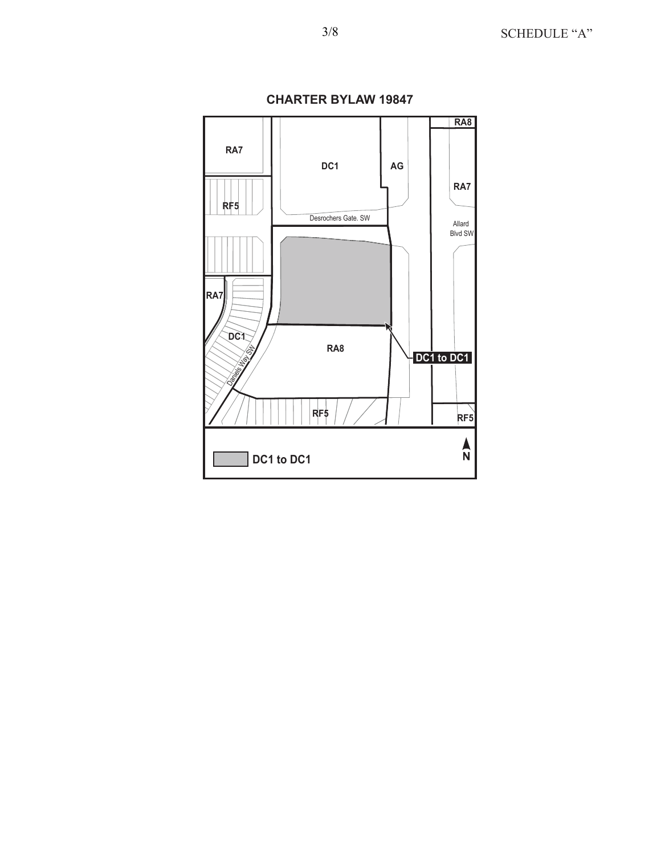

**CHARTER BYLAW 19847**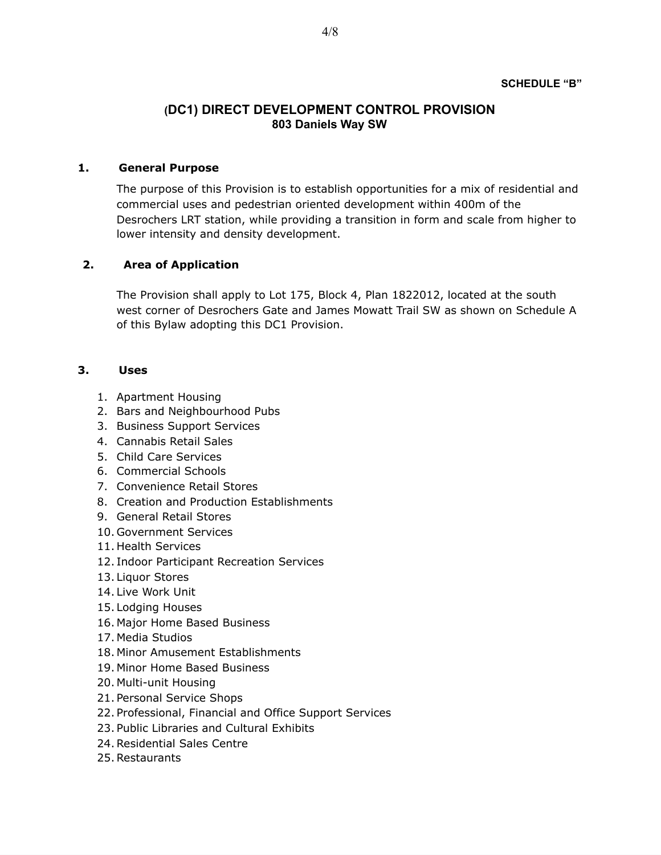### **(DC1) DIRECT DEVELOPMENT CONTROL PROVISION 803 Daniels Way SW**

#### **1. General Purpose**

The purpose of this Provision is to establish opportunities for a mix of residential and commercial uses and pedestrian oriented development within 400m of the Desrochers LRT station, while providing a transition in form and scale from higher to lower intensity and density development.

### **2. Area of Application**

The Provision shall apply to Lot 175, Block 4, Plan 1822012, located at the south west corner of Desrochers Gate and James Mowatt Trail SW as shown on Schedule A of this Bylaw adopting this DC1 Provision.

### **3. Uses**

- 1. Apartment Housing
- 2. Bars and Neighbourhood Pubs
- 3. Business Support Services
- 4. Cannabis Retail Sales
- 5. Child Care Services
- 6. Commercial Schools
- 7. Convenience Retail Stores
- 8. Creation and Production Establishments
- 9. General Retail Stores
- 10. Government Services
- 11. Health Services
- 12. Indoor Participant Recreation Services
- 13. Liquor Stores
- 14. Live Work Unit
- 15. Lodging Houses
- 16. Major Home Based Business
- 17. Media Studios
- 18. Minor Amusement Establishments
- 19. Minor Home Based Business
- 20. Multi-unit Housing
- 21. Personal Service Shops
- 22. Professional, Financial and Office Support Services
- 23. Public Libraries and Cultural Exhibits
- 24. Residential Sales Centre
- 25. Restaurants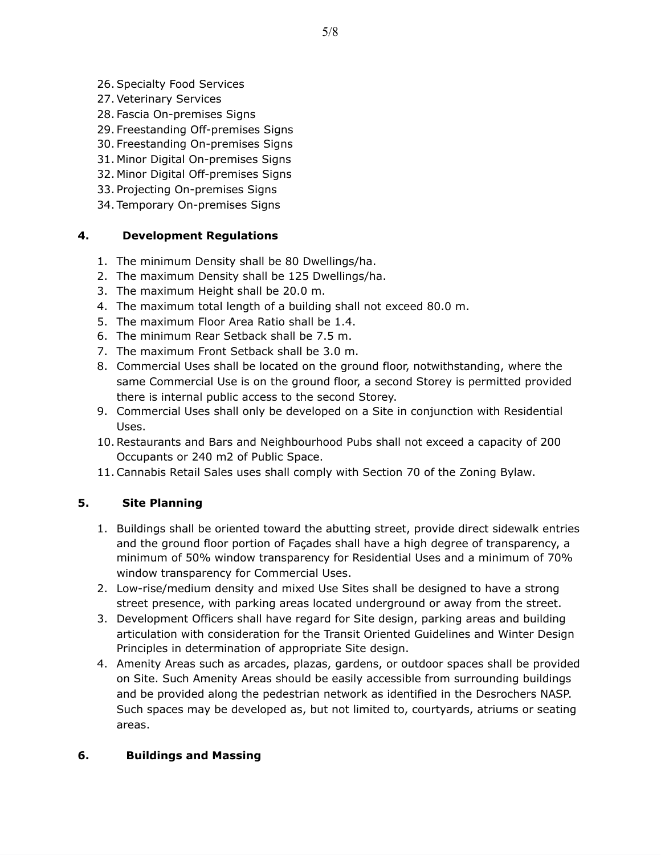- 26. Specialty Food Services
- 27. Veterinary Services
- 28. Fascia On-premises Signs
- 29. Freestanding Off-premises Signs
- 30. Freestanding On-premises Signs
- 31. Minor Digital On-premises Signs
- 32. Minor Digital Off-premises Signs
- 33. Projecting On-premises Signs
- 34. Temporary On-premises Signs

### **4. Development Regulations**

- 1. The minimum Density shall be 80 Dwellings/ha.
- 2. The maximum Density shall be 125 Dwellings/ha.
- 3. The maximum Height shall be 20.0 m.
- 4. The maximum total length of a building shall not exceed 80.0 m.
- 5. The maximum Floor Area Ratio shall be 1.4.
- 6. The minimum Rear Setback shall be 7.5 m.
- 7. The maximum Front Setback shall be 3.0 m.
- 8. Commercial Uses shall be located on the ground floor, notwithstanding, where the same Commercial Use is on the ground floor, a second Storey is permitted provided there is internal public access to the second Storey.
- 9. Commercial Uses shall only be developed on a Site in conjunction with Residential Uses.
- 10. Restaurants and Bars and Neighbourhood Pubs shall not exceed a capacity of 200 Occupants or 240 m2 of Public Space.
- 11. Cannabis Retail Sales uses shall comply with Section 70 of the Zoning Bylaw.

## **5. Site Planning**

- 1. Buildings shall be oriented toward the abutting street, provide direct sidewalk entries and the ground floor portion of Façades shall have a high degree of transparency, a minimum of 50% window transparency for Residential Uses and a minimum of 70% window transparency for Commercial Uses.
- 2. Low-rise/medium density and mixed Use Sites shall be designed to have a strong street presence, with parking areas located underground or away from the street.
- 3. Development Officers shall have regard for Site design, parking areas and building articulation with consideration for the Transit Oriented Guidelines and Winter Design Principles in determination of appropriate Site design.
- 4. Amenity Areas such as arcades, plazas, gardens, or outdoor spaces shall be provided on Site. Such Amenity Areas should be easily accessible from surrounding buildings and be provided along the pedestrian network as identified in the Desrochers NASP. Such spaces may be developed as, but not limited to, courtyards, atriums or seating areas.

### **6. Buildings and Massing**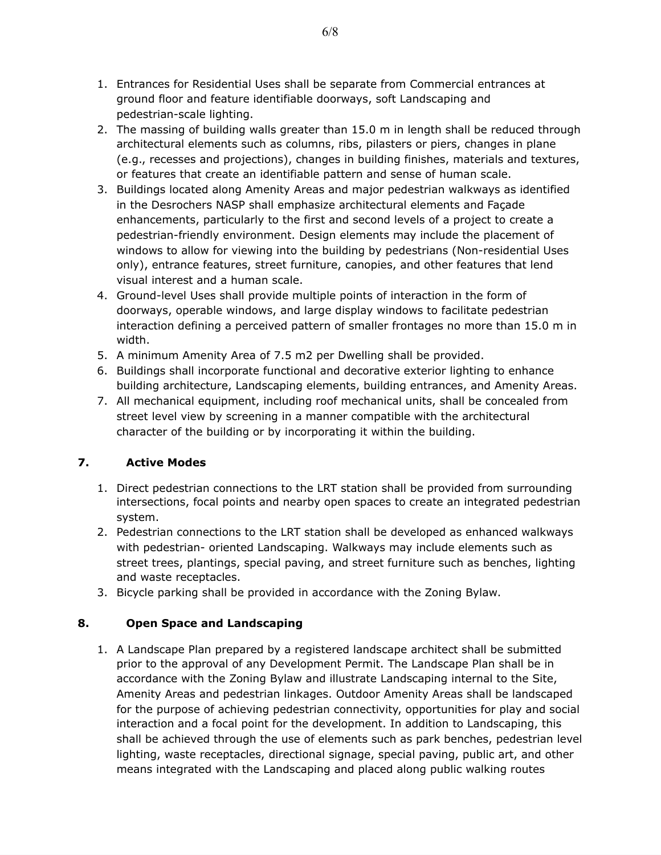- 1. Entrances for Residential Uses shall be separate from Commercial entrances at ground floor and feature identifiable doorways, soft Landscaping and pedestrian-scale lighting.
- 2. The massing of building walls greater than 15.0 m in length shall be reduced through architectural elements such as columns, ribs, pilasters or piers, changes in plane (e.g., recesses and projections), changes in building finishes, materials and textures, or features that create an identifiable pattern and sense of human scale.
- 3. Buildings located along Amenity Areas and major pedestrian walkways as identified in the Desrochers NASP shall emphasize architectural elements and Façade enhancements, particularly to the first and second levels of a project to create a pedestrian-friendly environment. Design elements may include the placement of windows to allow for viewing into the building by pedestrians (Non-residential Uses only), entrance features, street furniture, canopies, and other features that lend visual interest and a human scale.
- 4. Ground-level Uses shall provide multiple points of interaction in the form of doorways, operable windows, and large display windows to facilitate pedestrian interaction defining a perceived pattern of smaller frontages no more than 15.0 m in width.
- 5. A minimum Amenity Area of 7.5 m2 per Dwelling shall be provided.
- 6. Buildings shall incorporate functional and decorative exterior lighting to enhance building architecture, Landscaping elements, building entrances, and Amenity Areas.
- 7. All mechanical equipment, including roof mechanical units, shall be concealed from street level view by screening in a manner compatible with the architectural character of the building or by incorporating it within the building.

# **7. Active Modes**

- 1. Direct pedestrian connections to the LRT station shall be provided from surrounding intersections, focal points and nearby open spaces to create an integrated pedestrian system.
- 2. Pedestrian connections to the LRT station shall be developed as enhanced walkways with pedestrian- oriented Landscaping. Walkways may include elements such as street trees, plantings, special paving, and street furniture such as benches, lighting and waste receptacles.
- 3. Bicycle parking shall be provided in accordance with the Zoning Bylaw.

# **8. Open Space and Landscaping**

1. A Landscape Plan prepared by a registered landscape architect shall be submitted prior to the approval of any Development Permit. The Landscape Plan shall be in accordance with the Zoning Bylaw and illustrate Landscaping internal to the Site, Amenity Areas and pedestrian linkages. Outdoor Amenity Areas shall be landscaped for the purpose of achieving pedestrian connectivity, opportunities for play and social interaction and a focal point for the development. In addition to Landscaping, this shall be achieved through the use of elements such as park benches, pedestrian level lighting, waste receptacles, directional signage, special paving, public art, and other means integrated with the Landscaping and placed along public walking routes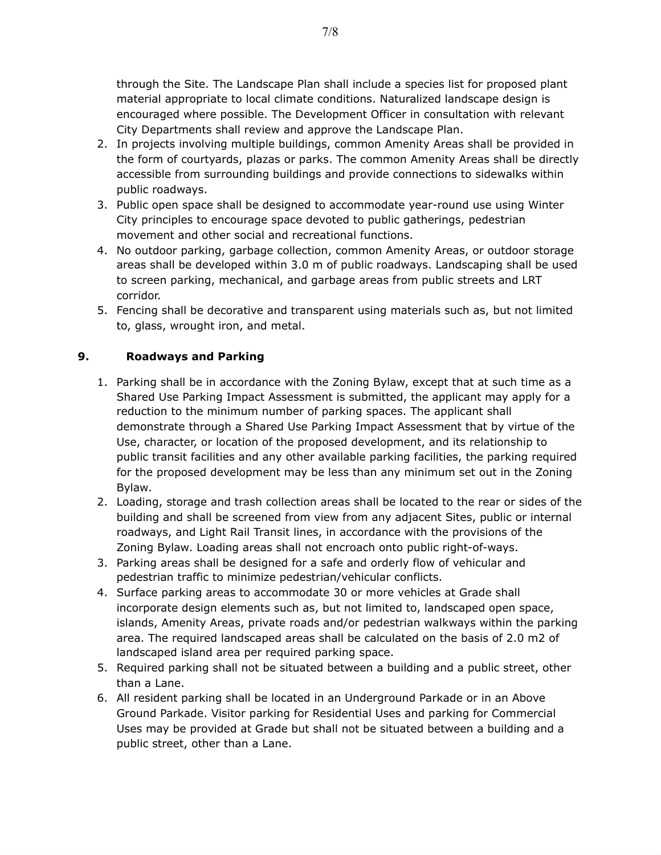through the Site. The Landscape Plan shall include a species list for proposed plant material appropriate to local climate conditions. Naturalized landscape design is encouraged where possible. The Development Officer in consultation with relevant City Departments shall review and approve the Landscape Plan.

- 2. In projects involving multiple buildings, common Amenity Areas shall be provided in the form of courtyards, plazas or parks. The common Amenity Areas shall be directly accessible from surrounding buildings and provide connections to sidewalks within public roadways.
- 3. Public open space shall be designed to accommodate year-round use using Winter City principles to encourage space devoted to public gatherings, pedestrian movement and other social and recreational functions.
- 4. No outdoor parking, garbage collection, common Amenity Areas, or outdoor storage areas shall be developed within 3.0 m of public roadways. Landscaping shall be used to screen parking, mechanical, and garbage areas from public streets and LRT corridor.
- 5. Fencing shall be decorative and transparent using materials such as, but not limited to, glass, wrought iron, and metal.

## **9. Roadways and Parking**

- 1. Parking shall be in accordance with the Zoning Bylaw, except that at such time as a Shared Use Parking Impact Assessment is submitted, the applicant may apply for a reduction to the minimum number of parking spaces. The applicant shall demonstrate through a Shared Use Parking Impact Assessment that by virtue of the Use, character, or location of the proposed development, and its relationship to public transit facilities and any other available parking facilities, the parking required for the proposed development may be less than any minimum set out in the Zoning Bylaw.
- 2. Loading, storage and trash collection areas shall be located to the rear or sides of the building and shall be screened from view from any adjacent Sites, public or internal roadways, and Light Rail Transit lines, in accordance with the provisions of the Zoning Bylaw. Loading areas shall not encroach onto public right-of-ways.
- 3. Parking areas shall be designed for a safe and orderly flow of vehicular and pedestrian traffic to minimize pedestrian/vehicular conflicts.
- 4. Surface parking areas to accommodate 30 or more vehicles at Grade shall incorporate design elements such as, but not limited to, landscaped open space, islands, Amenity Areas, private roads and/or pedestrian walkways within the parking area. The required landscaped areas shall be calculated on the basis of 2.0 m2 of landscaped island area per required parking space.
- 5. Required parking shall not be situated between a building and a public street, other than a Lane.
- 6. All resident parking shall be located in an Underground Parkade or in an Above Ground Parkade. Visitor parking for Residential Uses and parking for Commercial Uses may be provided at Grade but shall not be situated between a building and a public street, other than a Lane.